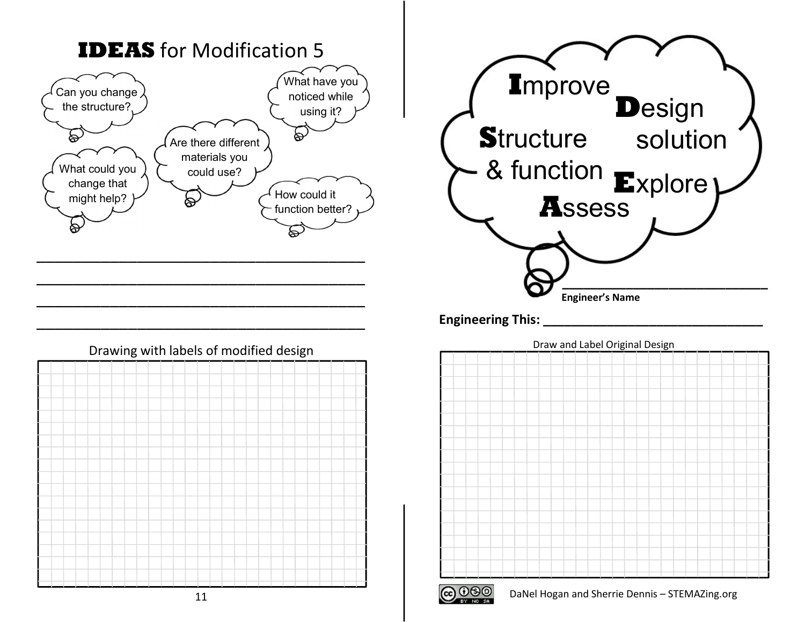





Engineering This:



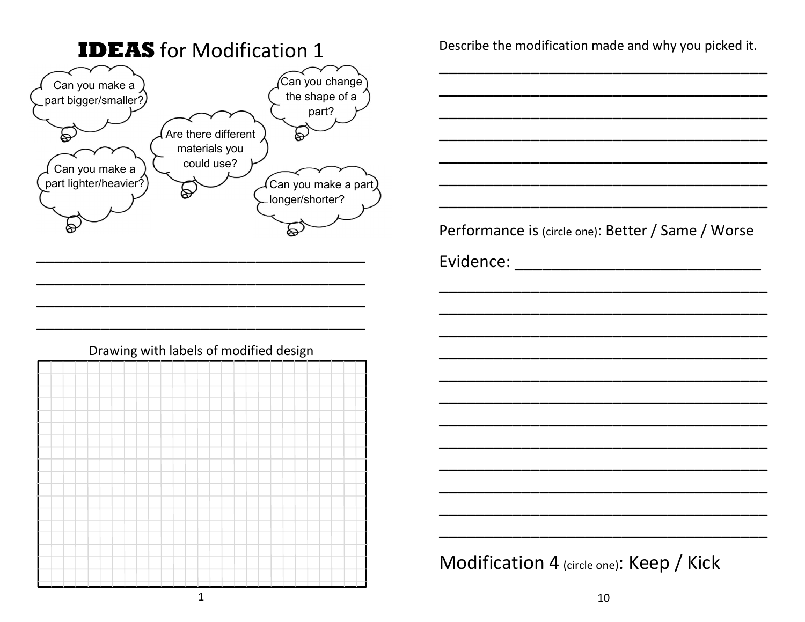

Describe the modification made and why you picked it.

Performance is (circle one): Better / Same / Worse

Modification 4 (circle one): Keep / Kick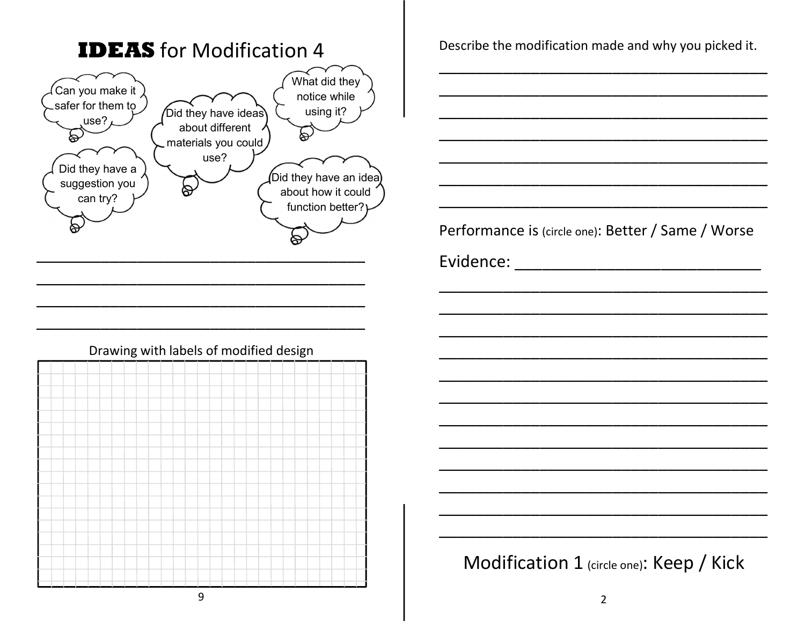

## Drawing with labels of modified design

Describe the modification made and why you picked it.

Performance is (circle one): Better / Same / Worse

Modification 1 (circle one): Keep / Kick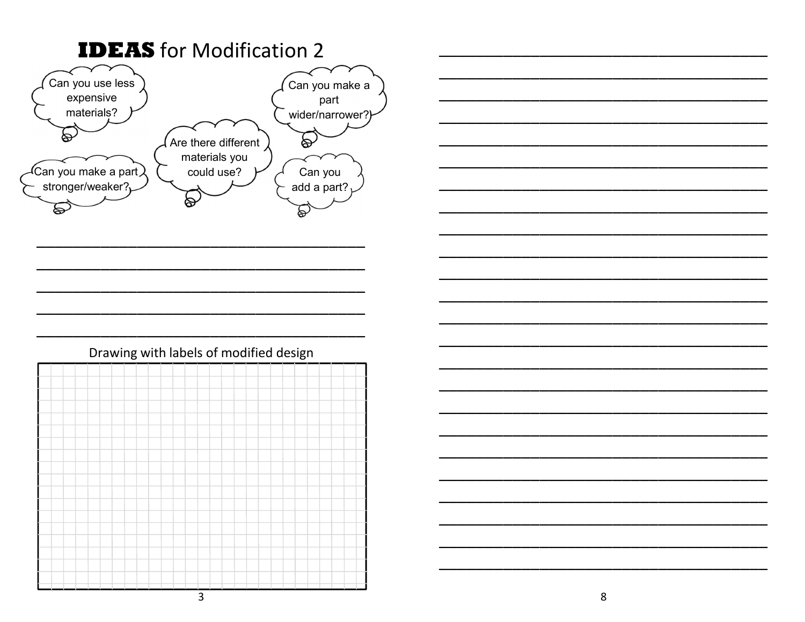

## Drawing with labels of modified design

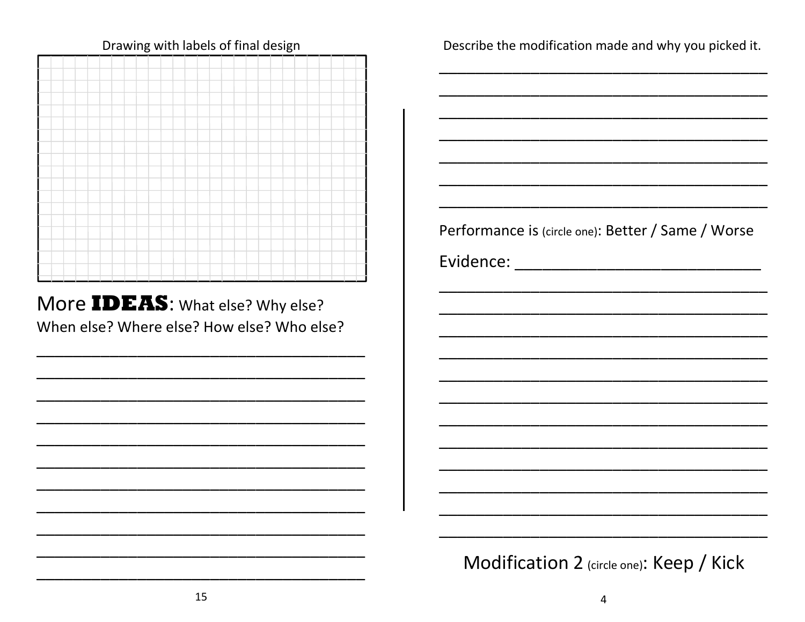

Drawing with labels of final design

More IDEAS: What else? Why else? When else? Where else? How else? Who else? Describe the modification made and why you picked it.

Performance is (circle one): Better / Same / Worse

Modification 2 (circle one): Keep / Kick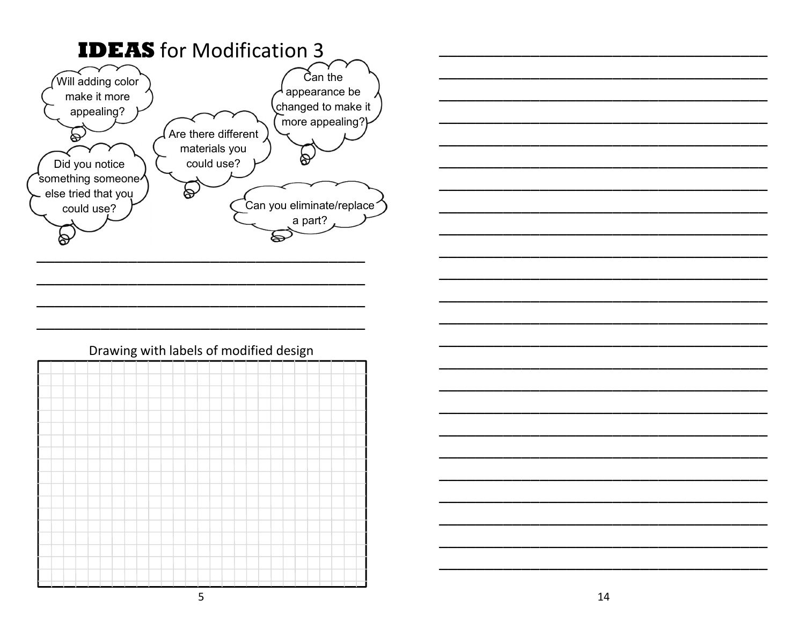

## Drawing with labels of modified design

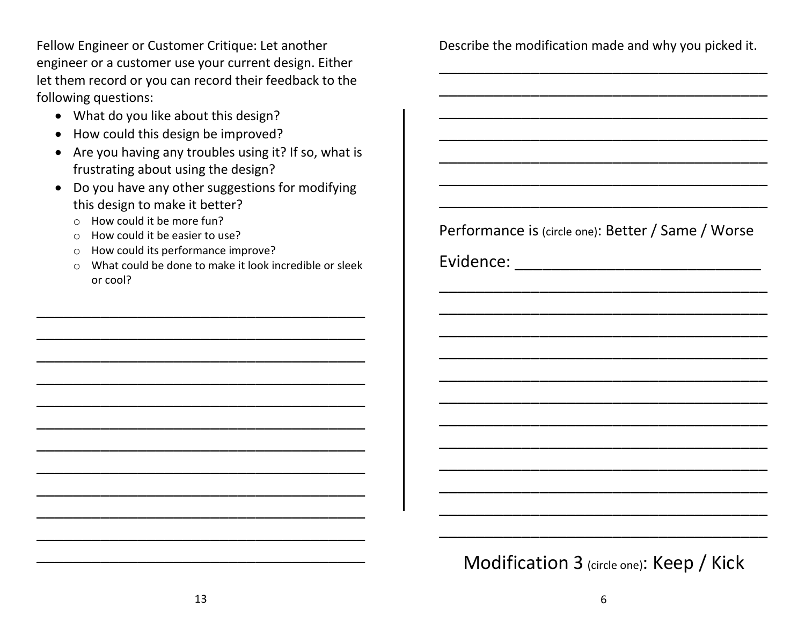Fellow Engineer or Customer Critique: Let another engineer or a customer use your current design. Either let them record or you can record their feedback to the following questions:

- What do you like about this design?
- How could this design be improved?
- Are you having any troubles using it? If so, what is frustrating about using the design?
- Do you have any other suggestions for modifying this design to make it better?
	- o How could it be more fun?
	- o How could it be easier to use?
	- o How could its performance improve?
	- o What could be done to make it look incredible or sleek or cool?

\_\_\_\_\_\_\_\_\_\_\_\_\_\_\_\_\_\_\_\_\_\_\_\_\_\_\_\_\_\_\_\_\_\_\_\_

\_\_\_\_\_\_\_\_\_\_\_\_\_\_\_\_\_\_\_\_\_\_\_\_\_\_\_\_\_\_\_\_\_\_\_\_

\_\_\_\_\_\_\_\_\_\_\_\_\_\_\_\_\_\_\_\_\_\_\_\_\_\_\_\_\_\_\_\_\_\_\_\_

\_\_\_\_\_\_\_\_\_\_\_\_\_\_\_\_\_\_\_\_\_\_\_\_\_\_\_\_\_\_\_\_\_\_\_\_

\_\_\_\_\_\_\_\_\_\_\_\_\_\_\_\_\_\_\_\_\_\_\_\_\_\_\_\_\_\_\_\_\_\_\_\_

\_\_\_\_\_\_\_\_\_\_\_\_\_\_\_\_\_\_\_\_\_\_\_\_\_\_\_\_\_\_\_\_\_\_\_\_

\_\_\_\_\_\_\_\_\_\_\_\_\_\_\_\_\_\_\_\_\_\_\_\_\_\_\_\_\_\_\_\_\_\_\_\_

\_\_\_\_\_\_\_\_\_\_\_\_\_\_\_\_\_\_\_\_\_\_\_\_\_\_\_\_\_\_\_\_\_\_\_\_

\_\_\_\_\_\_\_\_\_\_\_\_\_\_\_\_\_\_\_\_\_\_\_\_\_\_\_\_\_\_\_\_\_\_\_\_

\_\_\_\_\_\_\_\_\_\_\_\_\_\_\_\_\_\_\_\_\_\_\_\_\_\_\_\_\_\_\_\_\_\_\_\_

\_\_\_\_\_\_\_\_\_\_\_\_\_\_\_\_\_\_\_\_\_\_\_\_\_\_\_\_\_\_\_\_\_\_\_\_

\_\_\_\_\_\_\_\_\_\_\_\_\_\_\_\_\_\_\_\_\_\_\_\_\_\_\_\_\_\_\_\_\_\_\_\_

Describe the modification made and why you picked it. \_\_\_\_\_\_\_\_\_\_\_\_\_\_\_\_\_\_\_\_\_\_\_\_\_\_\_\_\_\_\_\_\_\_\_\_

\_\_\_\_\_\_\_\_\_\_\_\_\_\_\_\_\_\_\_\_\_\_\_\_\_\_\_\_\_\_\_\_\_\_\_\_

\_\_\_\_\_\_\_\_\_\_\_\_\_\_\_\_\_\_\_\_\_\_\_\_\_\_\_\_\_\_\_\_\_\_\_\_

\_\_\_\_\_\_\_\_\_\_\_\_\_\_\_\_\_\_\_\_\_\_\_\_\_\_\_\_\_\_\_\_\_\_\_\_

\_\_\_\_\_\_\_\_\_\_\_\_\_\_\_\_\_\_\_\_\_\_\_\_\_\_\_\_\_\_\_\_\_\_\_\_

\_\_\_\_\_\_\_\_\_\_\_\_\_\_\_\_\_\_\_\_\_\_\_\_\_\_\_\_\_\_\_\_\_\_\_\_

\_\_\_\_\_\_\_\_\_\_\_\_\_\_\_\_\_\_\_\_\_\_\_\_\_\_\_\_\_\_\_\_\_\_\_\_

Performance is (circle one): Better / Same / Worse

\_\_\_\_\_\_\_\_\_\_\_\_\_\_\_\_\_\_\_\_\_\_\_\_\_\_\_\_\_\_\_\_\_\_\_\_

\_\_\_\_\_\_\_\_\_\_\_\_\_\_\_\_\_\_\_\_\_\_\_\_\_\_\_\_\_\_\_\_\_\_\_\_

\_\_\_\_\_\_\_\_\_\_\_\_\_\_\_\_\_\_\_\_\_\_\_\_\_\_\_\_\_\_\_\_\_\_\_\_

\_\_\_\_\_\_\_\_\_\_\_\_\_\_\_\_\_\_\_\_\_\_\_\_\_\_\_\_\_\_\_\_\_\_\_\_

\_\_\_\_\_\_\_\_\_\_\_\_\_\_\_\_\_\_\_\_\_\_\_\_\_\_\_\_\_\_\_\_\_\_\_\_

\_\_\_\_\_\_\_\_\_\_\_\_\_\_\_\_\_\_\_\_\_\_\_\_\_\_\_\_\_\_\_\_\_\_\_\_

\_\_\_\_\_\_\_\_\_\_\_\_\_\_\_\_\_\_\_\_\_\_\_\_\_\_\_\_\_\_\_\_\_\_\_\_

\_\_\_\_\_\_\_\_\_\_\_\_\_\_\_\_\_\_\_\_\_\_\_\_\_\_\_\_\_\_\_\_\_\_\_\_

\_\_\_\_\_\_\_\_\_\_\_\_\_\_\_\_\_\_\_\_\_\_\_\_\_\_\_\_\_\_\_\_\_\_\_\_

\_\_\_\_\_\_\_\_\_\_\_\_\_\_\_\_\_\_\_\_\_\_\_\_\_\_\_\_\_\_\_\_\_\_\_\_

\_\_\_\_\_\_\_\_\_\_\_\_\_\_\_\_\_\_\_\_\_\_\_\_\_\_\_\_\_\_\_\_\_\_\_\_

\_\_\_\_\_\_\_\_\_\_\_\_\_\_\_\_\_\_\_\_\_\_\_\_\_\_\_\_\_\_\_\_\_\_\_\_

Evidence: \_\_\_\_\_\_\_\_\_\_\_\_\_\_\_\_\_\_\_\_\_\_\_\_\_\_\_\_\_\_\_\_\_\_\_

Modification 3 (circle one): Keep / Kick